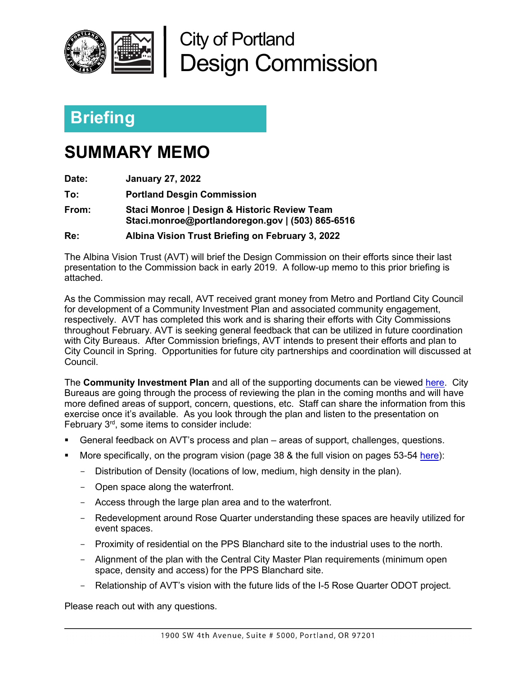

City of Portland Design Commission

## **Briefing**

## **SUMMARY MEMO**

**Date: January 27, 2022**

**To: Portland Desgin Commission**

**From: Staci Monroe | Design & Historic Review Team Staci.monroe@portlandoregon.gov | (503) 865-6516**

**Re: Albina Vision Trust Briefing on February 3, 2022**

The Albina Vision Trust (AVT) will brief the Design Commission on their efforts since their last presentation to the Commission back in early 2019. A follow-up memo to this prior briefing is attached.

As the Commission may recall, AVT received grant money from Metro and Portland City Council for development of a Community Investment Plan and associated community engagement, respectively. AVT has completed this work and is sharing their efforts with City Commissions throughout February. AVT is seeking general feedback that can be utilized in future coordination with City Bureaus. After Commission briefings, AVT intends to present their efforts and plan to City Council in Spring. Opportunities for future city partnerships and coordination will discussed at Council.

The **Community Investment Plan** and all of the supporting documents can be viewed [here.](https://drive.google.com/drive/folders/1r03zOJhoQCDhl1teMV6GAiyj7oLRMsUt) City Bureaus are going through the process of reviewing the plan in the coming months and will have more defined areas of support, concern, questions, etc. Staff can share the information from this exercise once it's available. As you look through the plan and listen to the presentation on February 3rd, some items to consider include:

- General feedback on AVT's process and plan areas of support, challenges, questions.
- More specifically, on the program vision (page 38 & the full vision on pages 53-54 here):
	- Distribution of Density (locations of low, medium, high density in the plan).
	- Open space along the waterfront.
	- Access through the large plan area and to the waterfront.
	- Redevelopment around Rose Quarter understanding these spaces are heavily utilized for event spaces.
	- Proximity of residential on the PPS Blanchard site to the industrial uses to the north.
	- Alignment of the plan with the Central City Master Plan requirements (minimum open space, density and access) for the PPS Blanchard site.
	- Relationship of AVT's vision with the future lids of the I-5 Rose Quarter ODOT project.

Please reach out with any questions.